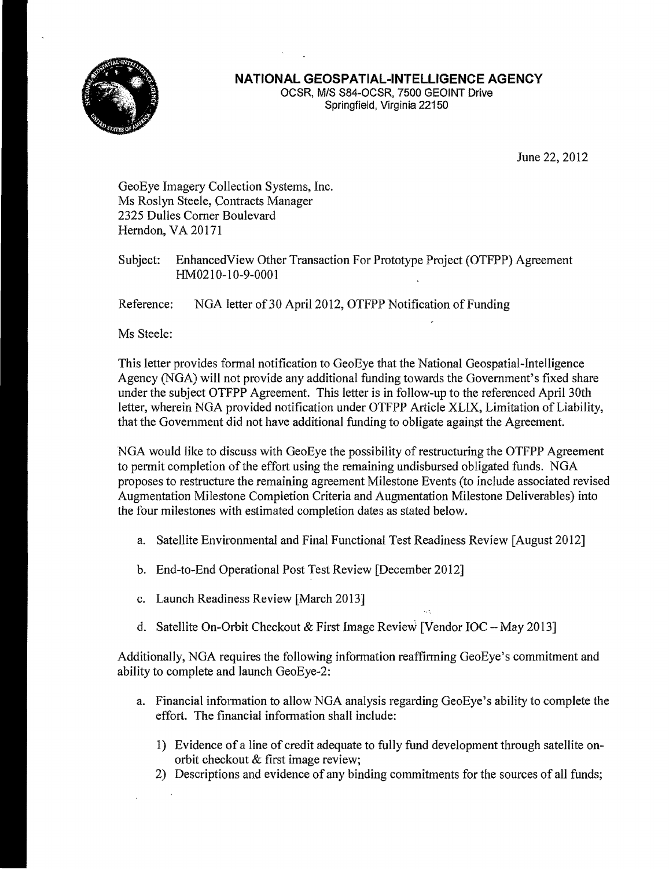

## **NATIONAL GEOSPATIAL-INTELLIGENCE AGENCY**

OCSR, MIS S84-0CSR, 7500 GEOINT Drive Springfield, Virginia 22150

June 22, 2012

GeoEye Imagery Collection Systems, Inc. Ms Roslyn Steele, Contracts Manager 2325 Dulles Corner Boulevard Herndon, VA 20171

Subject: Enhanced View Other Transaction For Prototype Project (OTFPP) Agreement HM0210-10-9-0001

Reference: NGA letter of 30 April 2012, OTFPP Notification of Funding

Ms Steele:

This letter provides formal notification to GeoEye that the National Geospatial-Intelligence Agency (NGA) will not provide any additional funding towards the Government's fixed share under the subject OTFPP Agreement. This letter is in follow-up to the referenced April 30th letter, wherein NGA provided notification under OTFPP Article XLIX, Limitation of Liability, that the Government did not have additional funding to obligate against the Agreement.

NGA would like to discuss with GeoEye the possibility of restructuring the OTFPP Agreement to permit completion of the effort using the remaining undisbursed obligated funds. NGA proposes to restructure the remaining agreement Milestone Events (to include associated revised Augmentation Milestone Completion Criteria and Augmentation Milestone Deliverables) into the four milestones with estimated completion dates as stated below.

- a. Satellite Environmental and Final Functional Test Readiness Review [August 2012]
- b. End-to-End Operational Post Test Review [December 2012]
- c. Launch Readiness Review [March 2013]
- d. Satellite On-Orbit Checkout & First Image Review [Vendor IOC May 2013]

Additionally, NGA requires the following information reaffirming GeoEye's commitment and ability to complete and launch GeoEye-2:

- a. Financial information to allow NGA analysis regarding GeoEye's ability to complete the effort. The financial information shall include:
	- 1) Evidence of a line of credit adequate to fully fund development through satellite onorbit checkout & first image review;
	- 2) Descriptions and evidence of any binding commitments for the sources of all funds;